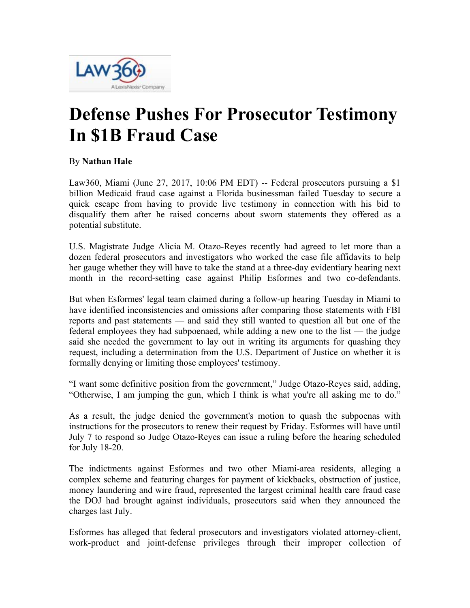

## **Defense Pushes For Prosecutor Testimony In \$1B Fraud Case**

## By **Nathan Hale**

Law360, Miami (June 27, 2017, 10:06 PM EDT) -- Federal prosecutors pursuing a \$1 billion Medicaid fraud case against a Florida businessman failed Tuesday to secure a quick escape from having to provide live testimony in connection with his bid to disqualify them after he raised concerns about sworn statements they offered as a potential substitute.

U.S. Magistrate Judge Alicia M. Otazo-Reyes recently had agreed to let more than a dozen federal prosecutors and investigators who worked the case file affidavits to help her gauge whether they will have to take the stand at a three-day evidentiary hearing next month in the record-setting case against Philip Esformes and two co-defendants.

But when Esformes' legal team claimed during a follow-up hearing Tuesday in Miami to have identified inconsistencies and omissions after comparing those statements with FBI reports and past statements — and said they still wanted to question all but one of the federal employees they had subpoenaed, while adding a new one to the list — the judge said she needed the government to lay out in writing its arguments for quashing they request, including a determination from the U.S. Department of Justice on whether it is formally denying or limiting those employees' testimony.

"I want some definitive position from the government," Judge Otazo-Reyes said, adding, "Otherwise, I am jumping the gun, which I think is what you're all asking me to do."

As a result, the judge denied the government's motion to quash the subpoenas with instructions for the prosecutors to renew their request by Friday. Esformes will have until July 7 to respond so Judge Otazo-Reyes can issue a ruling before the hearing scheduled for July 18-20.

The indictments against Esformes and two other Miami-area residents, alleging a complex scheme and featuring charges for payment of kickbacks, obstruction of justice, money laundering and wire fraud, represented the largest criminal health care fraud case the DOJ had brought against individuals, prosecutors said when they announced the charges last July.

Esformes has alleged that federal prosecutors and investigators violated attorney-client, work-product and joint-defense privileges through their improper collection of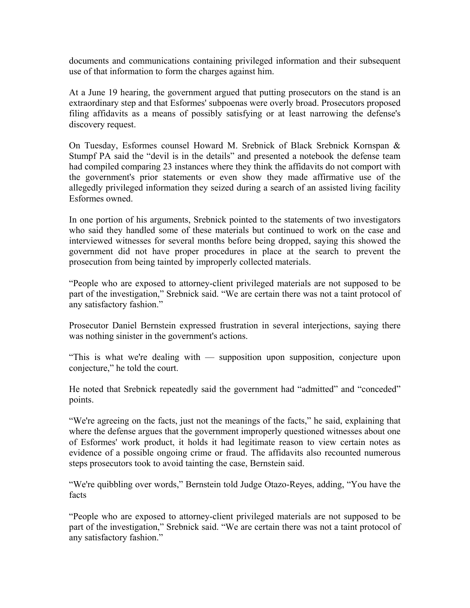documents and communications containing privileged information and their subsequent use of that information to form the charges against him.

At a June 19 hearing, the government argued that putting prosecutors on the stand is an extraordinary step and that Esformes' subpoenas were overly broad. Prosecutors proposed filing affidavits as a means of possibly satisfying or at least narrowing the defense's discovery request.

On Tuesday, Esformes counsel Howard M. Srebnick of Black Srebnick Kornspan & Stumpf PA said the "devil is in the details" and presented a notebook the defense team had compiled comparing 23 instances where they think the affidavits do not comport with the government's prior statements or even show they made affirmative use of the allegedly privileged information they seized during a search of an assisted living facility Esformes owned.

In one portion of his arguments, Srebnick pointed to the statements of two investigators who said they handled some of these materials but continued to work on the case and interviewed witnesses for several months before being dropped, saying this showed the government did not have proper procedures in place at the search to prevent the prosecution from being tainted by improperly collected materials.

"People who are exposed to attorney-client privileged materials are not supposed to be part of the investigation," Srebnick said. "We are certain there was not a taint protocol of any satisfactory fashion."

Prosecutor Daniel Bernstein expressed frustration in several interjections, saying there was nothing sinister in the government's actions.

"This is what we're dealing with — supposition upon supposition, conjecture upon conjecture," he told the court.

He noted that Srebnick repeatedly said the government had "admitted" and "conceded" points.

"We're agreeing on the facts, just not the meanings of the facts," he said, explaining that where the defense argues that the government improperly questioned witnesses about one of Esformes' work product, it holds it had legitimate reason to view certain notes as evidence of a possible ongoing crime or fraud. The affidavits also recounted numerous steps prosecutors took to avoid tainting the case, Bernstein said.

"We're quibbling over words," Bernstein told Judge Otazo-Reyes, adding, "You have the facts

"People who are exposed to attorney-client privileged materials are not supposed to be part of the investigation," Srebnick said. "We are certain there was not a taint protocol of any satisfactory fashion."